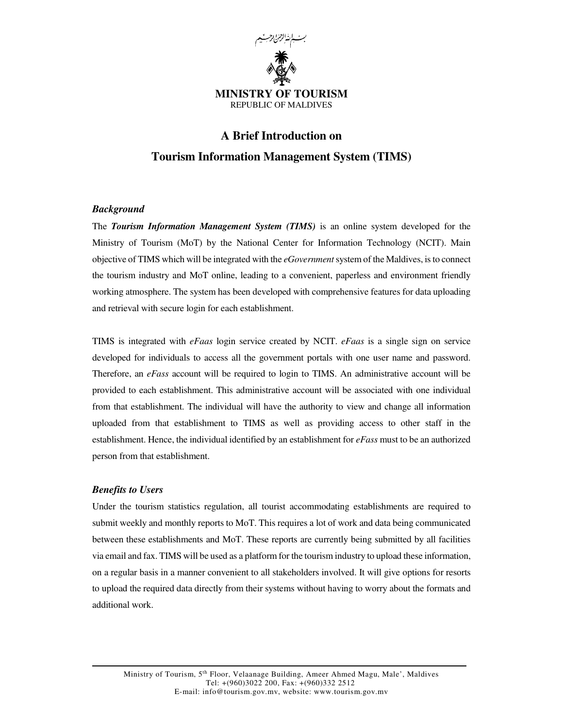

# **A Brief Introduction on Tourism Information Management System (TIMS)**

# *Background*

The *Tourism Information Management System (TIMS)* is an online system developed for the Ministry of Tourism (MoT) by the National Center for Information Technology (NCIT). Main objective of TIMS which will be integrated with the *eGovernment* system of the Maldives, is to connect the tourism industry and MoT online, leading to a convenient, paperless and environment friendly working atmosphere. The system has been developed with comprehensive features for data uploading and retrieval with secure login for each establishment.

TIMS is integrated with *eFaas* login service created by NCIT. *eFaas* is a single sign on service developed for individuals to access all the government portals with one user name and password. Therefore, an *eFass* account will be required to login to TIMS. An administrative account will be provided to each establishment. This administrative account will be associated with one individual from that establishment. The individual will have the authority to view and change all information uploaded from that establishment to TIMS as well as providing access to other staff in the establishment. Hence, the individual identified by an establishment for *eFass* must to be an authorized person from that establishment.

# *Benefits to Users*

Under the tourism statistics regulation, all tourist accommodating establishments are required to submit weekly and monthly reports to MoT. This requires a lot of work and data being communicated between these establishments and MoT. These reports are currently being submitted by all facilities via email and fax. TIMS will be used as a platform for the tourism industry to upload these information, on a regular basis in a manner convenient to all stakeholders involved. It will give options for resorts to upload the required data directly from their systems without having to worry about the formats and additional work.